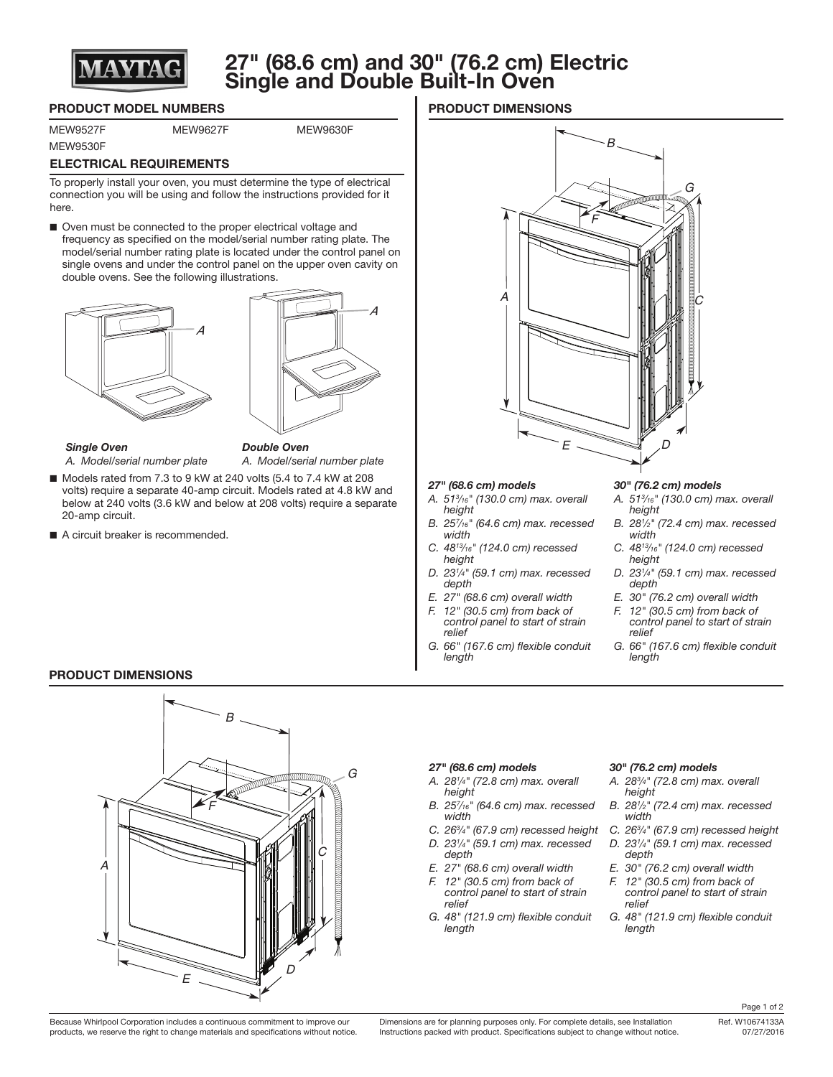

# **27" (68.6 cm) and 30" (76.2 cm) Electric Single and Double Built-In Oven**

## **PRODUCT MODEL NUMBERS**

MEW9530F

#### MEW9527F MEW9627F MEW9630F

# **ELECTRICAL REQUIREMENTS**

To properly install your oven, you must determine the type of electrical connection you will be using and follow the instructions provided for it here.

■ Oven must be connected to the proper electrical voltage and frequency as specified on the model/serial number rating plate. The model/serial number rating plate is located under the control panel on single ovens and under the control panel on the upper oven cavity on double ovens. See the following illustrations.





### *Single Oven*

*Double Oven A. Model/serial number plate*

- Models rated from 7.3 to 9 kW at 240 volts (5.4 to 7.4 kW at 208 volts) require a separate 40-amp circuit. Models rated at 4.8 kW and below at 240 volts (3.6 kW and below at 208 volts) require a separate 20-amp circuit.
- A circuit breaker is recommended.

*A. Model/serial number plate*

# **PRODUCT DIMENSIONS**



#### *27" (68.6 cm) models*

- *A. 513 ⁄16" (130.0 cm) max. overall height*
- *B. 257 ⁄16" (64.6 cm) max. recessed width*
- *C. 4813⁄16" (124.0 cm) recessed height*
- *D. 231 ⁄4" (59.1 cm) max. recessed depth*
- *E. 27" (68.6 cm) overall width*
- *F. 12" (30.5 cm) from back of control panel to start of strain relief*
- *G. 66" (167.6 cm) flexible conduit length*

#### *30" (76.2 cm) models*

- *A. 513 ⁄16" (130.0 cm) max. overall height*
- *B. 281 ⁄2" (72.4 cm) max. recessed width*
- *C. 4813⁄16" (124.0 cm) recessed height*
- *D. 231 ⁄4" (59.1 cm) max. recessed depth*
- *E. 30" (76.2 cm) overall width*
- *F. 12" (30.5 cm) from back of control panel to start of strain relief*
- *G. 66" (167.6 cm) flexible conduit length*

## **PRODUCT DIMENSIONS**



#### *27" (68.6 cm) models*

- *A. 281 ⁄4" (72.8 cm) max. overall height*
- *B. 257 ⁄16" (64.6 cm) max. recessed width*
- *C. 263 ⁄4" (67.9 cm) recessed height*
- *D. 231 ⁄4" (59.1 cm) max. recessed*
- *depth E. 27" (68.6 cm) overall width*
- *F. 12" (30.5 cm) from back of control panel to start of strain*
- *relief G. 48" (121.9 cm) flexible conduit length*

#### *30" (76.2 cm) models*

- *A. 283 ⁄4" (72.8 cm) max. overall height*
- *B. 281 ⁄2" (72.4 cm) max. recessed width*
- *C. 263 ⁄4" (67.9 cm) recessed height*
- *D. 231 ⁄4" (59.1 cm) max. recessed depth*
- *E. 30" (76.2 cm) overall width*
- *F. 12" (30.5 cm) from back of control panel to start of strain relief*
- *G. 48" (121.9 cm) flexible conduit length*

Because Whirlpool Corporation includes a continuous commitment to improve our products, we reserve the right to change materials and specifications without notice.